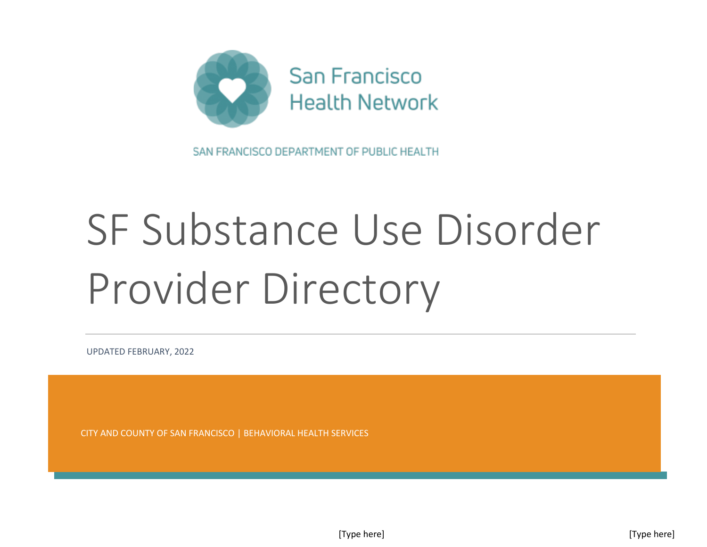

SAN FRANCISCO DEPARTMENT OF PUBLIC HEALTH

## SF Substance Use Disorder Provider Directory

UPDATED FEBRUARY, 2022

CITY AND COUNTY OF SAN FRANCISCO | BEHAVIORAL HEALTH SERVICES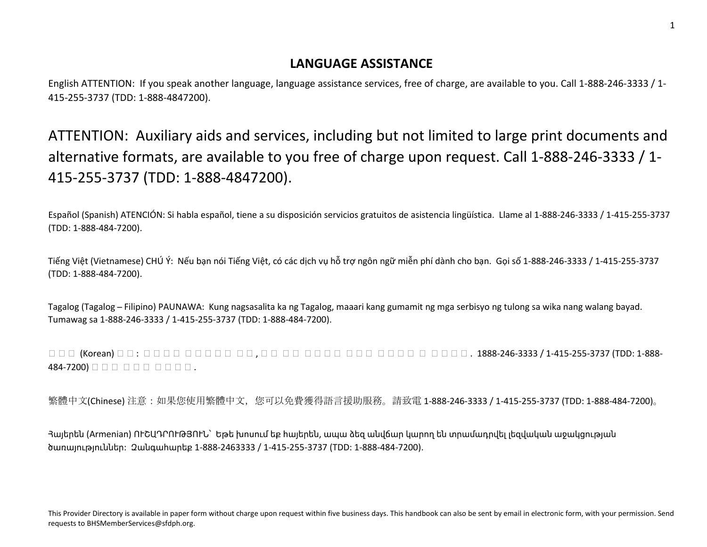## **LANGUAGE ASSISTANCE**

English ATTENTION: If you speak another language, language assistance services, free of charge, are available to you. Call 1-888-246-3333 / 1- 415-255-3737 (TDD: 1-888-4847200).

ATTENTION: Auxiliary aids and services, including but not limited to large print documents and alternative formats, are available to you free of charge upon request. Call 1-888-246-3333 / 1- 415-255-3737 (TDD: 1-888-4847200).

Español (Spanish) ATENCIÓN: Si habla español, tiene a su disposición servicios gratuitos de asistencia lingüística. Llame al 1-888-246-3333 / 1-415-255-3737 (TDD: 1-888-484-7200).

Tiếng Việt (Vietnamese) CHÚ Ý: Nếu bạn nói Tiếng Việt, có các dịch vụ hỗ trợ ngôn ngữ miễn phí dành cho bạn. Gọi số 1-888-246-3333 / 1-415-255-3737 (TDD: 1-888-484-7200).

Tagalog (Tagalog ̶ Filipino) PAUNAWA: Kung nagsasalita ka ng Tagalog, maaari kang gumamit ng mga serbisyo ng tulong sa wika nang walang bayad. Tumawag sa 1-888-246-3333 / 1-415-255-3737 (TDD: 1-888-484-7200).

한 국어 (Korean) 주의 : 한 국어를 사용하시는 경우 , 언어 지원 서비스를 무료로 이용하실 수 있습니다 . 1888-246-3333 / 1-415-255-3737 (TDD: 1-888- 484-7200) 만드다 다 다 다 다 다 다 다 .

繁體中文(Chinese) 注意:如果您使用繁體中文,您可以免費獲得語言援助服務。請致電 1-888-246-3333 / 1-415-255-3737 (TDD: 1-888-484-7200)。

Հայերեն (Armenian) ՈՒՇԱԴՐՈՒԹՅՈՒՆ՝ Եթե խոսում եք հայերեն, ապա ձեզ անվճար կարող են տրամադրվել լեզվական աջակցության ծառայություններ: Զանգահարեք 1-888-2463333 / 1-415-255-3737 (TDD: 1-888-484-7200).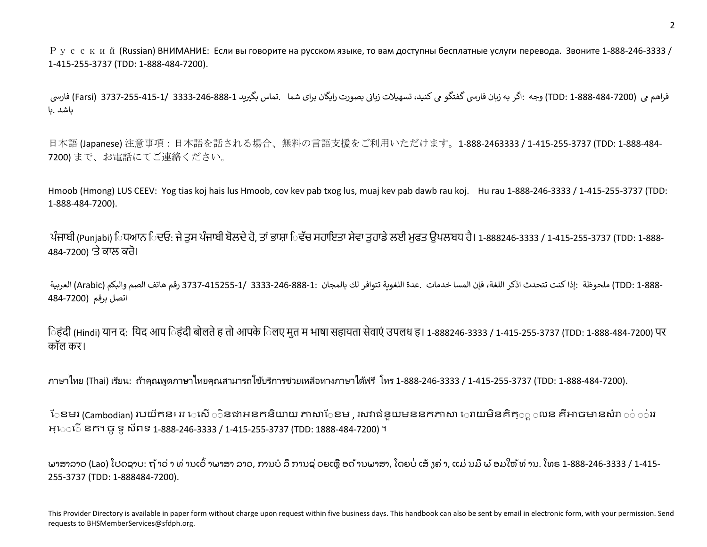Русский (Russian) ВНИМАНИЕ: Если вы говорите на русском языке, то вам доступны бесплатные услуги перевода. Звоните 1-888-246-3333 / 1-415-255-3737 (TDD: 1-888-484-7200).

فراھم مي (TDD: 1-888-484-7200) وجه :اگر به زيان فارسي گفتگو مي کنيد، تسهيلات زياني بصورت رايگان براي شما .تماس بگيريد 1-883-246-3333 /Farsi) 3737-255-415-1/ 3333-246-888-1 فارسي باشد .با

日本語 (Japanese) 注意事項:日本語を話される場合、無料の言語支援をご利用いただけます。1-888-2463333 / 1-415-255-3737 (TDD: 1-888-484- 7200) まで、お電話にてご連絡ください。

Hmoob (Hmong) LUS CEEV: Yog tias koj hais lus Hmoob, cov kev pab txog lus, muaj kev pab dawb rau koj. Hu rau 1-888-246-3333 / 1-415-255-3737 (TDD: 1-888-484-7200).

ਪੰਜਾਬੀ (Punjabi) ਿਧਆਨ ਿਦਓ: ਜੇ ਤਸ ਪੰਜਾਬੀ ਬੋਲਦੇ ਹੋ, ਤਾਂ ਭਾਸ਼ਾ ਿਵੱਚ ਸਹਾਇਤਾ ਸੇਵਾ ਤਹਾਡੇ ਲਈ ਮਫਤ ੳਪਲਬਧ ਹੈ। 1-888246-3333 / 1-415-255-3737 (TDD: 1-888-484-7200) 'ਤੇਕਾਲ ਕਰੋ।

-TDD: 1-888) ملحوظة :إذا كنت تتحدث اذكر اللغة، فإن المسا خدمات .عدة اللغوبة تتوافر لك بالمجان :1-888-246-883-1/ 3333-246-3737 رقم هاتف الصم والبكم (Arabic) العربية اتصل برقم (484-7200

िहंदी (Hindi) यान द: यिद आप िहंदी बोलते ह तो आपके िलए मुत म भाषा सहायता सेवाएं उपलध ह। 1-888246-3333 / 1-415-255-3737 (TDD: 1-888-484-7200) पर कॉल कर।

ิภาษาไทย (Thai) เรียน: ถ้าคุณพูดภาษาไทยคุณสามารถใช้บริการช่วยเหลือทางภาษาได้ฟรี โทร 1-888-246-3333 / 1-415-255-3737 (TDD: 1-888-484-7200).

ែខមរ (Cambodian) របយ័តន៖ ររ េសើ ិនជាអនកនិយាយ ភាសាែខម , រសវាជំនយមននកភាសា ោយមិនគិត $_\odot$  លន គឺអាចមានសំរា ់ ៎ារ អ្េ◌◌េ◌ើនក។ ចូទូស័ពទ 1-888-246-3333 / 1-415-255-3737 (TDD: 1888-484-7200) ។

ພາສາລາວ (Lao) ໂປດຊາບ: ຖ້າວ່ າ ທ່ ານເວົ້ າພາສາ ລາວ, ການບໍ ລິການຊ່ ວຍເຫືຼອດ້ານພາສາ, ໂດຍບໍ່ ເສັ ຽຄ່ າ, ແມ່ ນມີພ້ອມໃຫ້ທ່ ານ. ໂທຣ 1-888-246-3333 / 1-415- 255-3737 (TDD: 1-888484-7200).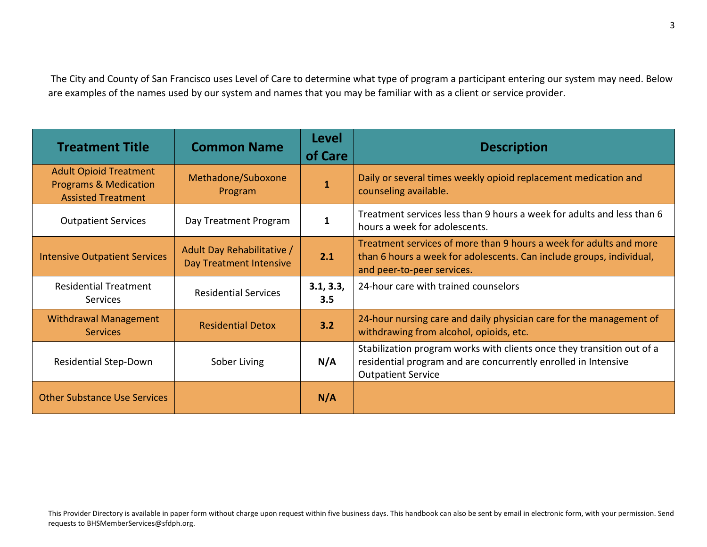The City and County of San Francisco uses Level of Care to determine what type of program a participant entering our system may need. Below are examples of the names used by our system and names that you may be familiar with as a client or service provider.

| <b>Treatment Title</b>                                                                         | <b>Common Name</b>                                    | <b>Level</b><br>of Care | <b>Description</b>                                                                                                                                                       |
|------------------------------------------------------------------------------------------------|-------------------------------------------------------|-------------------------|--------------------------------------------------------------------------------------------------------------------------------------------------------------------------|
| <b>Adult Opioid Treatment</b><br><b>Programs &amp; Medication</b><br><b>Assisted Treatment</b> | Methadone/Suboxone<br>Program                         |                         | Daily or several times weekly opioid replacement medication and<br>counseling available.                                                                                 |
| <b>Outpatient Services</b>                                                                     | Day Treatment Program                                 | $\mathbf{1}$            | Treatment services less than 9 hours a week for adults and less than 6<br>hours a week for adolescents.                                                                  |
| <b>Intensive Outpatient Services</b>                                                           | Adult Day Rehabilitative /<br>Day Treatment Intensive | 2.1                     | Treatment services of more than 9 hours a week for adults and more<br>than 6 hours a week for adolescents. Can include groups, individual,<br>and peer-to-peer services. |
| <b>Residential Treatment</b><br>Services                                                       | <b>Residential Services</b>                           | 3.1, 3.3,<br>3.5        | 24-hour care with trained counselors                                                                                                                                     |
| <b>Withdrawal Management</b><br><b>Services</b>                                                | <b>Residential Detox</b>                              | 3.2                     | 24-hour nursing care and daily physician care for the management of<br>withdrawing from alcohol, opioids, etc.                                                           |
| <b>Residential Step-Down</b>                                                                   | Sober Living                                          | N/A                     | Stabilization program works with clients once they transition out of a<br>residential program and are concurrently enrolled in Intensive<br><b>Outpatient Service</b>    |
| <b>Other Substance Use Services</b>                                                            |                                                       | N/A                     |                                                                                                                                                                          |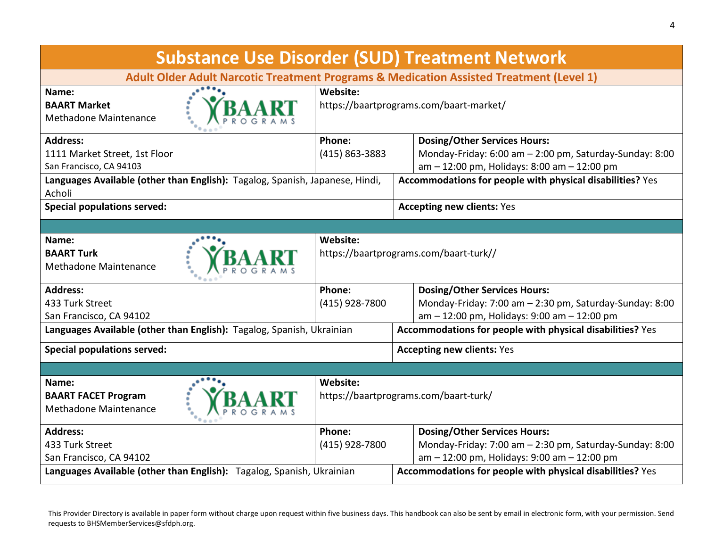| <b>Substance Use Disorder (SUD) Treatment Network</b>                                   |                                                           |                                                           |  |
|-----------------------------------------------------------------------------------------|-----------------------------------------------------------|-----------------------------------------------------------|--|
| Adult Older Adult Narcotic Treatment Programs & Medication Assisted Treatment (Level 1) |                                                           |                                                           |  |
| Name:                                                                                   | Website:                                                  |                                                           |  |
| <b>BAART Market</b>                                                                     |                                                           | https://baartprograms.com/baart-market/                   |  |
| Methadone Maintenance                                                                   |                                                           |                                                           |  |
| <b>Address:</b>                                                                         | Phone:                                                    | <b>Dosing/Other Services Hours:</b>                       |  |
| 1111 Market Street, 1st Floor                                                           | (415) 863-3883                                            | Monday-Friday: 6:00 am - 2:00 pm, Saturday-Sunday: 8:00   |  |
| San Francisco, CA 94103                                                                 |                                                           | am - 12:00 pm, Holidays: 8:00 am - 12:00 pm               |  |
| Languages Available (other than English): Tagalog, Spanish, Japanese, Hindi,            |                                                           | Accommodations for people with physical disabilities? Yes |  |
| Acholi                                                                                  |                                                           |                                                           |  |
| <b>Special populations served:</b>                                                      |                                                           | <b>Accepting new clients: Yes</b>                         |  |
|                                                                                         |                                                           |                                                           |  |
| Name:                                                                                   | Website:                                                  |                                                           |  |
| <b>BAART Turk</b>                                                                       |                                                           | https://baartprograms.com/baart-turk//                    |  |
| Methadone Maintenance                                                                   |                                                           |                                                           |  |
| <b>Address:</b>                                                                         | Phone:                                                    | <b>Dosing/Other Services Hours:</b>                       |  |
| 433 Turk Street                                                                         | (415) 928-7800                                            | Monday-Friday: 7:00 am - 2:30 pm, Saturday-Sunday: 8:00   |  |
| San Francisco, CA 94102                                                                 |                                                           | am - 12:00 pm, Holidays: 9:00 am - 12:00 pm               |  |
| Languages Available (other than English): Tagalog, Spanish, Ukrainian                   |                                                           | Accommodations for people with physical disabilities? Yes |  |
| <b>Special populations served:</b>                                                      |                                                           | <b>Accepting new clients: Yes</b>                         |  |
|                                                                                         |                                                           |                                                           |  |
| Name:                                                                                   | Website:                                                  |                                                           |  |
| <b>BAART FACET Program</b>                                                              | https://baartprograms.com/baart-turk/                     |                                                           |  |
| Methadone Maintenance                                                                   |                                                           |                                                           |  |
| <b>Address:</b>                                                                         | Phone:                                                    | <b>Dosing/Other Services Hours:</b>                       |  |
| 433 Turk Street                                                                         | (415) 928-7800                                            | Monday-Friday: 7:00 am - 2:30 pm, Saturday-Sunday: 8:00   |  |
| San Francisco, CA 94102                                                                 |                                                           | am - 12:00 pm, Holidays: 9:00 am - 12:00 pm               |  |
| Languages Available (other than English): Tagalog, Spanish, Ukrainian                   | Accommodations for people with physical disabilities? Yes |                                                           |  |

4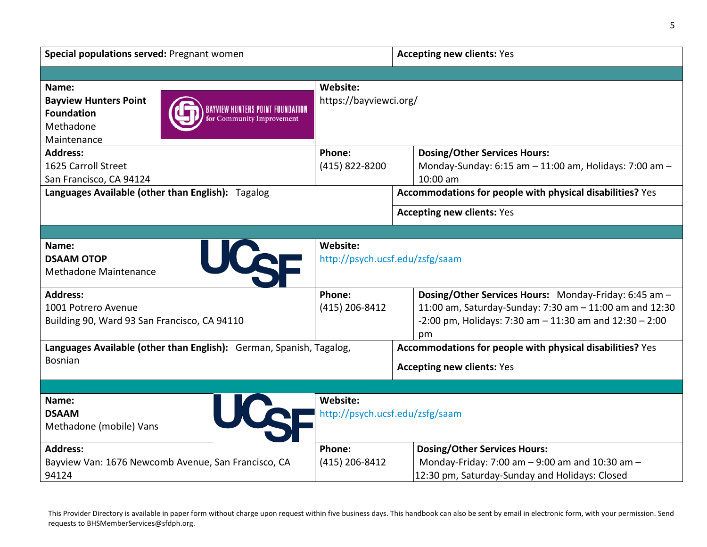| Special populations served: Pregnant women                            | <b>Accepting new clients: Yes</b> |                                                                    |  |  |
|-----------------------------------------------------------------------|-----------------------------------|--------------------------------------------------------------------|--|--|
|                                                                       |                                   |                                                                    |  |  |
| Name:                                                                 | Website:                          |                                                                    |  |  |
| <b>Bayview Hunters Point</b><br>BAYVIEW HUNTERS POINT FOUNDATION      | https://bayviewci.org/            |                                                                    |  |  |
| <b>Foundation</b><br>for Community Improvement                        |                                   |                                                                    |  |  |
| Methadone                                                             |                                   |                                                                    |  |  |
| Maintenance                                                           |                                   |                                                                    |  |  |
| <b>Address:</b><br>1625 Carroll Street                                | Phone:                            | <b>Dosing/Other Services Hours:</b>                                |  |  |
| San Francisco, CA 94124                                               | (415) 822-8200                    | Monday-Sunday: 6:15 am - 11:00 am, Holidays: 7:00 am -<br>10:00 am |  |  |
| Languages Available (other than English): Tagalog                     |                                   | Accommodations for people with physical disabilities? Yes          |  |  |
|                                                                       |                                   |                                                                    |  |  |
|                                                                       |                                   | <b>Accepting new clients: Yes</b>                                  |  |  |
|                                                                       |                                   |                                                                    |  |  |
| Name:                                                                 | Website:                          |                                                                    |  |  |
| UCQE<br><b>DSAAM OTOP</b>                                             |                                   | http://psych.ucsf.edu/zsfg/saam                                    |  |  |
| Methadone Maintenance                                                 |                                   |                                                                    |  |  |
| <b>Address:</b>                                                       | Phone:                            | Dosing/Other Services Hours: Monday-Friday: 6:45 am -              |  |  |
| 1001 Potrero Avenue                                                   | (415) 206-8412                    | 11:00 am, Saturday-Sunday: 7:30 am - 11:00 am and 12:30            |  |  |
| Building 90, Ward 93 San Francisco, CA 94110                          |                                   | $-2:00$ pm, Holidays: 7:30 am $-11:30$ am and $12:30 - 2:00$       |  |  |
|                                                                       |                                   | pm                                                                 |  |  |
| Languages Available (other than English): German, Spanish, Tagalog,   |                                   | Accommodations for people with physical disabilities? Yes          |  |  |
| <b>Bosnian</b>                                                        |                                   | <b>Accepting new clients: Yes</b>                                  |  |  |
|                                                                       |                                   |                                                                    |  |  |
| Name:                                                                 | <b>Website:</b>                   |                                                                    |  |  |
| UCer<br><b>DSAAM</b>                                                  |                                   | http://psych.ucsf.edu/zsfg/saam                                    |  |  |
| Methadone (mobile) Vans                                               |                                   |                                                                    |  |  |
| <b>Address:</b>                                                       | Phone:                            | <b>Dosing/Other Services Hours:</b>                                |  |  |
| (415) 206-8412<br>Bayview Van: 1676 Newcomb Avenue, San Francisco, CA |                                   | Monday-Friday: 7:00 am - 9:00 am and 10:30 am -                    |  |  |
| 94124                                                                 |                                   | 12:30 pm, Saturday-Sunday and Holidays: Closed                     |  |  |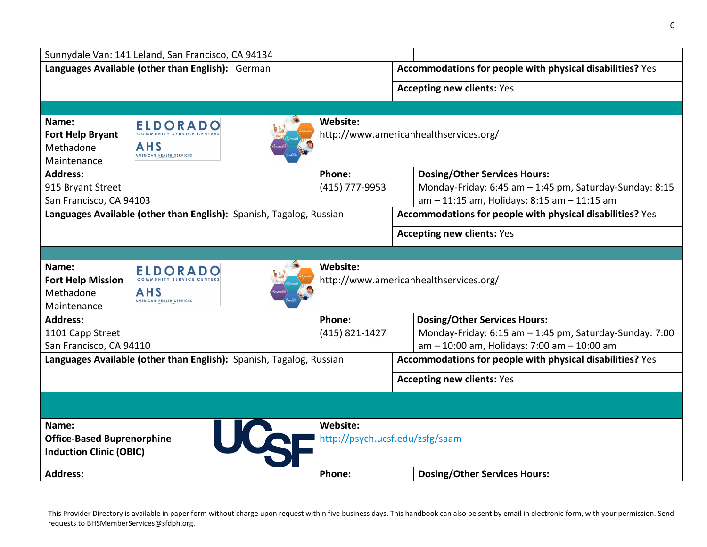|                                                  | Sunnydale Van: 141 Leland, San Francisco, CA 94134                  |                                                           |                                                           |
|--------------------------------------------------|---------------------------------------------------------------------|-----------------------------------------------------------|-----------------------------------------------------------|
| Languages Available (other than English): German |                                                                     | Accommodations for people with physical disabilities? Yes |                                                           |
|                                                  |                                                                     |                                                           | <b>Accepting new clients: Yes</b>                         |
|                                                  |                                                                     |                                                           |                                                           |
|                                                  |                                                                     | Website:                                                  |                                                           |
| Name:<br>Fort Help Bryant                        | <b>ELDORADO</b>                                                     |                                                           | http://www.americanhealthservices.org/                    |
| Methadone                                        | <b>AHS</b>                                                          |                                                           |                                                           |
| Maintenance                                      | AMERICAN HEALTH SERVICES                                            |                                                           |                                                           |
| <b>Address:</b>                                  |                                                                     | Phone:                                                    | <b>Dosing/Other Services Hours:</b>                       |
| 915 Bryant Street                                |                                                                     | (415) 777-9953                                            | Monday-Friday: 6:45 am - 1:45 pm, Saturday-Sunday: 8:15   |
| San Francisco, CA 94103                          |                                                                     |                                                           | am - 11:15 am, Holidays: 8:15 am - 11:15 am               |
|                                                  | Languages Available (other than English): Spanish, Tagalog, Russian |                                                           | Accommodations for people with physical disabilities? Yes |
|                                                  |                                                                     |                                                           | <b>Accepting new clients: Yes</b>                         |
|                                                  |                                                                     |                                                           |                                                           |
|                                                  |                                                                     |                                                           |                                                           |
| Name:                                            | <b>ELDORADO</b>                                                     | Website:                                                  |                                                           |
| <b>Fort Help Mission</b><br>Methadone            | AHS                                                                 |                                                           | http://www.americanhealthservices.org/                    |
| Maintenance                                      | AMERICAN HEALTH SERVICES                                            |                                                           |                                                           |
| <b>Address:</b>                                  |                                                                     | Phone:                                                    | <b>Dosing/Other Services Hours:</b>                       |
| 1101 Capp Street                                 |                                                                     | (415) 821-1427                                            | Monday-Friday: 6:15 am - 1:45 pm, Saturday-Sunday: 7:00   |
| San Francisco, CA 94110                          |                                                                     |                                                           | am - 10:00 am, Holidays: 7:00 am - 10:00 am               |
|                                                  | Languages Available (other than English): Spanish, Tagalog, Russian |                                                           | Accommodations for people with physical disabilities? Yes |
|                                                  |                                                                     |                                                           | <b>Accepting new clients: Yes</b>                         |
|                                                  |                                                                     |                                                           |                                                           |
|                                                  |                                                                     |                                                           |                                                           |
| Name:                                            |                                                                     | Website:                                                  |                                                           |
| <b>Office-Based Buprenorphine</b>                | UCc                                                                 |                                                           | http://psych.ucsf.edu/zsfg/saam                           |
| <b>Induction Clinic (OBIC)</b>                   |                                                                     |                                                           |                                                           |
| <b>Address:</b>                                  |                                                                     | Phone:                                                    | <b>Dosing/Other Services Hours:</b>                       |
|                                                  |                                                                     |                                                           |                                                           |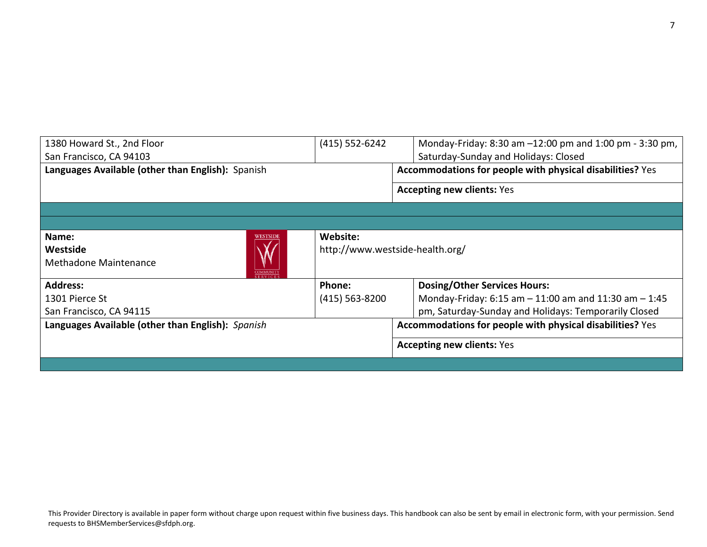| 1380 Howard St., 2nd Floor                        | (415) 552-6242 | Monday-Friday: 8:30 am -12:00 pm and 1:00 pm - 3:30 pm,   |
|---------------------------------------------------|----------------|-----------------------------------------------------------|
| San Francisco, CA 94103                           |                | Saturday-Sunday and Holidays: Closed                      |
| Languages Available (other than English): Spanish |                | Accommodations for people with physical disabilities? Yes |
|                                                   |                | <b>Accepting new clients: Yes</b>                         |
|                                                   |                |                                                           |
|                                                   |                |                                                           |
| Name:<br><b>WESTSIDE</b>                          | Website:       |                                                           |
| Westside                                          |                | http://www.westside-health.org/                           |
| Methadone Maintenance<br><b>COMMUNIT</b>          |                |                                                           |
| <b>Address:</b>                                   | Phone:         | <b>Dosing/Other Services Hours:</b>                       |
| 1301 Pierce St                                    | (415) 563-8200 | Monday-Friday: 6:15 am - 11:00 am and 11:30 am - 1:45     |
| San Francisco, CA 94115                           |                | pm, Saturday-Sunday and Holidays: Temporarily Closed      |
| Languages Available (other than English): Spanish |                | Accommodations for people with physical disabilities? Yes |
|                                                   |                | <b>Accepting new clients: Yes</b>                         |
|                                                   |                |                                                           |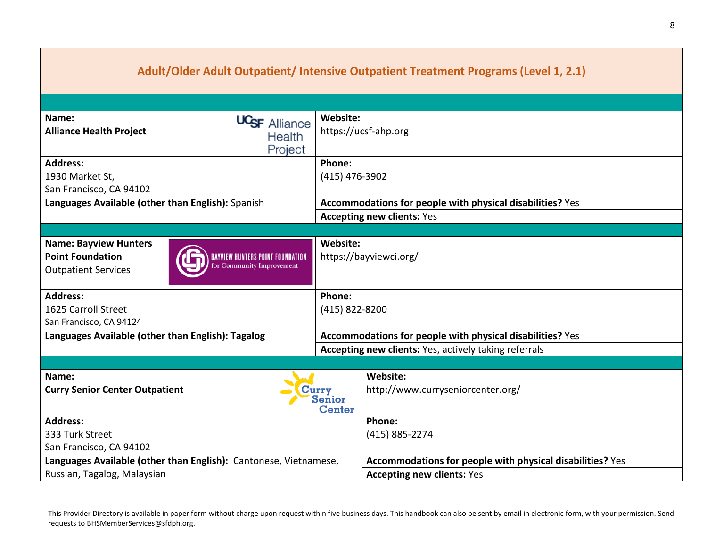| Adult/Older Adult Outpatient/ Intensive Outpatient Treatment Programs (Level 1, 2.1)                                                                          |                                    |                                                           |  |
|---------------------------------------------------------------------------------------------------------------------------------------------------------------|------------------------------------|-----------------------------------------------------------|--|
|                                                                                                                                                               |                                    |                                                           |  |
| Name:<br>UC <sub>SF</sub> Alliance<br><b>Alliance Health Project</b><br>Health<br>Project                                                                     | Website:                           | https://ucsf-ahp.org                                      |  |
| <b>Address:</b><br>1930 Market St,<br>San Francisco, CA 94102                                                                                                 | Phone:<br>(415) 476-3902           |                                                           |  |
| Languages Available (other than English): Spanish                                                                                                             |                                    | Accommodations for people with physical disabilities? Yes |  |
|                                                                                                                                                               |                                    | <b>Accepting new clients: Yes</b>                         |  |
|                                                                                                                                                               |                                    |                                                           |  |
| <b>Name: Bayview Hunters</b><br><b>Point Foundation</b><br><b>BAYVIEW HUNTERS POINT FOUNDATION</b><br>for Community Improvement<br><b>Outpatient Services</b> | Website:<br>https://bayviewci.org/ |                                                           |  |
| <b>Address:</b>                                                                                                                                               | Phone:                             |                                                           |  |
| 1625 Carroll Street<br>(415) 822-8200                                                                                                                         |                                    |                                                           |  |
| San Francisco, CA 94124                                                                                                                                       |                                    |                                                           |  |
| Languages Available (other than English): Tagalog                                                                                                             |                                    | Accommodations for people with physical disabilities? Yes |  |
|                                                                                                                                                               |                                    | Accepting new clients: Yes, actively taking referrals     |  |
|                                                                                                                                                               |                                    |                                                           |  |
| Name:<br><b>Curry Senior Center Outpatient</b><br>Curry<br>Senior<br><b>Center</b>                                                                            |                                    | Website:<br>http://www.curryseniorcenter.org/             |  |
| <b>Address:</b>                                                                                                                                               |                                    | Phone:                                                    |  |
| 333 Turk Street                                                                                                                                               |                                    | (415) 885-2274                                            |  |
| San Francisco, CA 94102                                                                                                                                       |                                    |                                                           |  |
| Languages Available (other than English): Cantonese, Vietnamese,                                                                                              |                                    | Accommodations for people with physical disabilities? Yes |  |
| Russian, Tagalog, Malaysian                                                                                                                                   |                                    | <b>Accepting new clients: Yes</b>                         |  |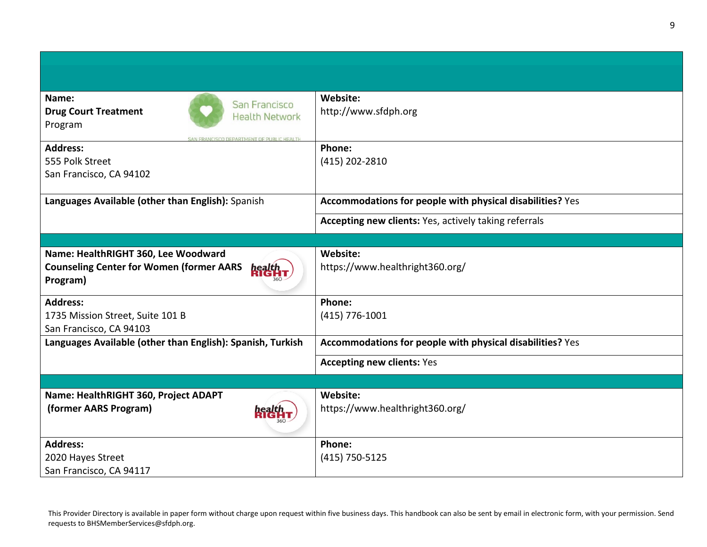| Name:<br>San Francisco                                        | Website:                                                  |
|---------------------------------------------------------------|-----------------------------------------------------------|
| <b>Drug Court Treatment</b><br><b>Health Network</b>          | http://www.sfdph.org                                      |
| Program                                                       |                                                           |
| CISCO DEDAPTMENT OF PHRUC HEALTH<br><b>Address:</b>           | Phone:                                                    |
| 555 Polk Street                                               | (415) 202-2810                                            |
| San Francisco, CA 94102                                       |                                                           |
|                                                               |                                                           |
| Languages Available (other than English): Spanish             | Accommodations for people with physical disabilities? Yes |
|                                                               | Accepting new clients: Yes, actively taking referrals     |
|                                                               |                                                           |
| Name: HealthRIGHT 360, Lee Woodward                           | Website:                                                  |
| <b>Counseling Center for Women (former AARS</b><br><b>nea</b> | https://www.healthright360.org/                           |
| Program)                                                      |                                                           |
|                                                               |                                                           |
| <b>Address:</b>                                               | Phone:                                                    |
| 1735 Mission Street, Suite 101 B                              | (415) 776-1001                                            |
| San Francisco, CA 94103                                       |                                                           |
| Languages Available (other than English): Spanish, Turkish    | Accommodations for people with physical disabilities? Yes |
|                                                               | <b>Accepting new clients: Yes</b>                         |
|                                                               |                                                           |
| Name: HealthRIGHT 360, Project ADAPT                          | Website:                                                  |
| (former AARS Program)                                         | https://www.healthright360.org/                           |
|                                                               |                                                           |
| <b>Address:</b>                                               | Phone:                                                    |
| 2020 Hayes Street                                             | $(415)$ 750-5125                                          |
| San Francisco, CA 94117                                       |                                                           |
|                                                               |                                                           |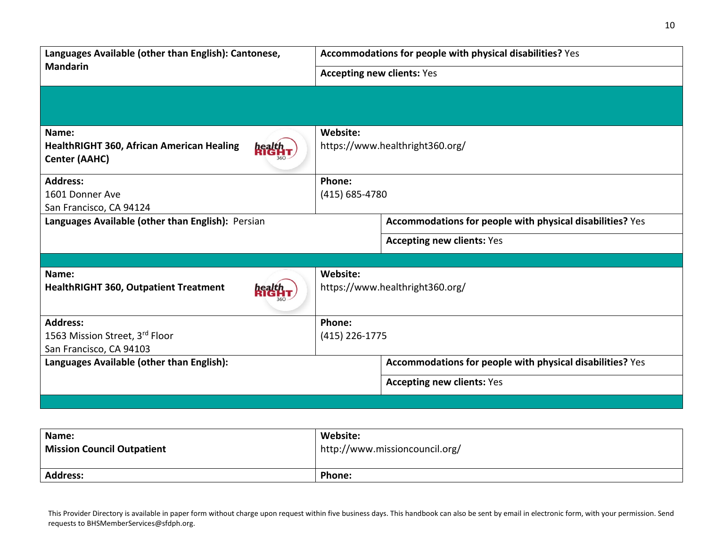| Languages Available (other than English): Cantonese,                                               | Accommodations for people with physical disabilities? Yes |  |
|----------------------------------------------------------------------------------------------------|-----------------------------------------------------------|--|
| <b>Mandarin</b>                                                                                    | <b>Accepting new clients: Yes</b>                         |  |
|                                                                                                    |                                                           |  |
| Name:<br><b>HealthRIGHT 360, African American Healing</b><br><b>health</b><br><b>Center (AAHC)</b> | Website:<br>https://www.healthright360.org/               |  |
| <b>Address:</b><br>1601 Donner Ave<br>San Francisco, CA 94124                                      | Phone:<br>(415) 685-4780                                  |  |
| Languages Available (other than English): Persian                                                  | Accommodations for people with physical disabilities? Yes |  |
|                                                                                                    | <b>Accepting new clients: Yes</b>                         |  |
| Name:<br><b>HealthRIGHT 360, Outpatient Treatment</b>                                              | Website:<br>https://www.healthright360.org/               |  |
| <b>Address:</b><br>1563 Mission Street, 3rd Floor<br>San Francisco, CA 94103                       | Phone:<br>$(415)$ 226-1775                                |  |
| Languages Available (other than English):                                                          | Accommodations for people with physical disabilities? Yes |  |
|                                                                                                    | <b>Accepting new clients: Yes</b>                         |  |
|                                                                                                    |                                                           |  |

| Name:                             | <b>Website:</b>                |
|-----------------------------------|--------------------------------|
| <b>Mission Council Outpatient</b> | http://www.missioncouncil.org/ |
|                                   |                                |
| <b>Address:</b>                   | <b>Phone:</b>                  |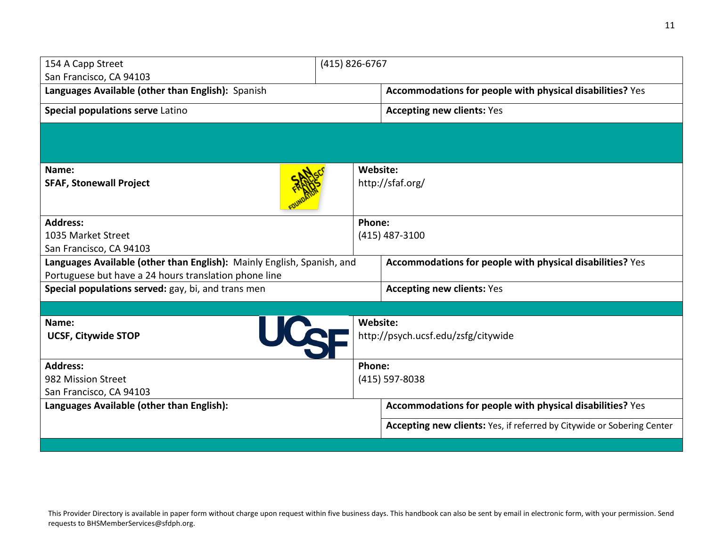| 154 A Capp Street<br>San Francisco, CA 94103                           | (415) 826-6767 |                                                                        |
|------------------------------------------------------------------------|----------------|------------------------------------------------------------------------|
| Languages Available (other than English): Spanish                      |                | Accommodations for people with physical disabilities? Yes              |
| Special populations serve Latino                                       |                | <b>Accepting new clients: Yes</b>                                      |
|                                                                        |                |                                                                        |
| Name:                                                                  | Website:       |                                                                        |
| <b>SFAF, Stonewall Project</b>                                         |                | http://sfaf.org/                                                       |
| <b>Address:</b>                                                        | Phone:         |                                                                        |
| 1035 Market Street                                                     |                | (415) 487-3100                                                         |
| San Francisco, CA 94103                                                |                |                                                                        |
| Languages Available (other than English): Mainly English, Spanish, and |                | Accommodations for people with physical disabilities? Yes              |
| Portuguese but have a 24 hours translation phone line                  |                |                                                                        |
| Special populations served: gay, bi, and trans men                     |                | <b>Accepting new clients: Yes</b>                                      |
|                                                                        |                |                                                                        |
| Name:                                                                  | Website:       |                                                                        |
| UCCF<br><b>UCSF, Citywide STOP</b>                                     |                | http://psych.ucsf.edu/zsfg/citywide                                    |
| <b>Address:</b>                                                        | Phone:         |                                                                        |
| 982 Mission Street                                                     |                | (415) 597-8038                                                         |
| San Francisco, CA 94103                                                |                |                                                                        |
| Languages Available (other than English):                              |                | Accommodations for people with physical disabilities? Yes              |
|                                                                        |                | Accepting new clients: Yes, if referred by Citywide or Sobering Center |
|                                                                        |                |                                                                        |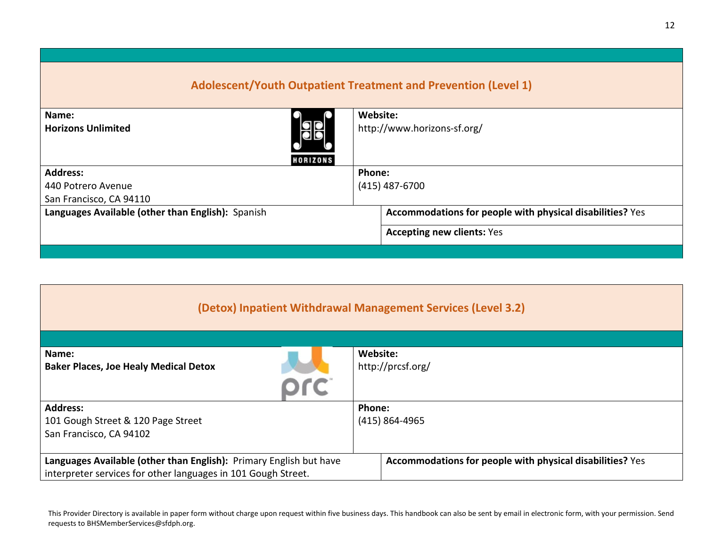| Adolescent/Youth Outpatient Treatment and Prevention (Level 1) |                                                           |  |  |
|----------------------------------------------------------------|-----------------------------------------------------------|--|--|
| Name:                                                          | Website:                                                  |  |  |
| 8<br><b>Horizons Unlimited</b><br><b>HORIZONS</b>              | http://www.horizons-sf.org/                               |  |  |
| <b>Address:</b>                                                | Phone:                                                    |  |  |
| 440 Potrero Avenue                                             | $(415)$ 487-6700                                          |  |  |
| San Francisco, CA 94110                                        |                                                           |  |  |
| Languages Available (other than English): Spanish              | Accommodations for people with physical disabilities? Yes |  |  |
|                                                                | <b>Accepting new clients: Yes</b>                         |  |  |
|                                                                |                                                           |  |  |

| (Detox) Inpatient Withdrawal Management Services (Level 3.2)                                                                                                                                     |                               |  |  |
|--------------------------------------------------------------------------------------------------------------------------------------------------------------------------------------------------|-------------------------------|--|--|
| Name:<br><b>Baker Places, Joe Healy Medical Detox</b>                                                                                                                                            | Website:<br>http://prcsf.org/ |  |  |
| <b>Address:</b><br>101 Gough Street & 120 Page Street<br>San Francisco, CA 94102                                                                                                                 | Phone:<br>(415) 864-4965      |  |  |
| Languages Available (other than English): Primary English but have<br>Accommodations for people with physical disabilities? Yes<br>interpreter services for other languages in 101 Gough Street. |                               |  |  |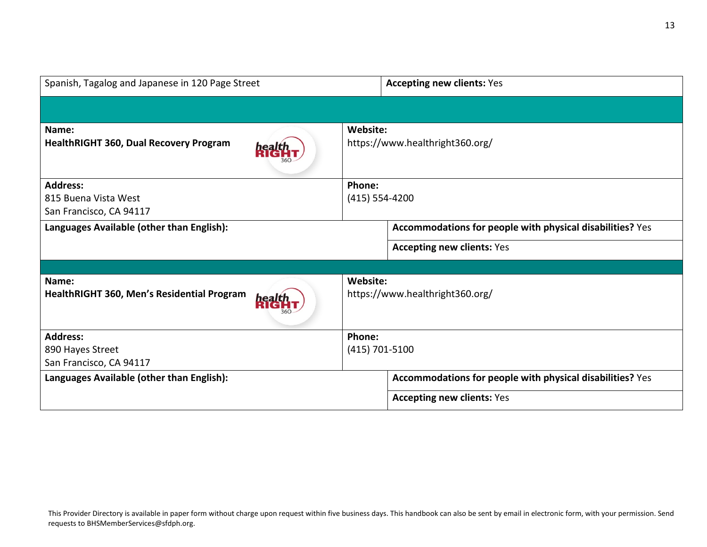| Spanish, Tagalog and Japanese in 120 Page Street                   |                                                           | <b>Accepting new clients: Yes</b>                         |  |
|--------------------------------------------------------------------|-----------------------------------------------------------|-----------------------------------------------------------|--|
|                                                                    |                                                           |                                                           |  |
| Name:<br><b>HealthRIGHT 360, Dual Recovery Program</b>             | Website:<br>https://www.healthright360.org/               |                                                           |  |
| <b>Address:</b><br>815 Buena Vista West<br>San Francisco, CA 94117 | Phone:<br>$(415) 554 - 4200$                              |                                                           |  |
| Languages Available (other than English):                          | Accommodations for people with physical disabilities? Yes |                                                           |  |
|                                                                    |                                                           | <b>Accepting new clients: Yes</b>                         |  |
|                                                                    |                                                           |                                                           |  |
| Name:<br>HealthRIGHT 360, Men's Residential Program                | Website:<br>https://www.healthright360.org/               |                                                           |  |
| <b>Address:</b>                                                    | Phone:                                                    |                                                           |  |
| 890 Hayes Street                                                   | $(415) 701 - 5100$                                        |                                                           |  |
| San Francisco, CA 94117                                            |                                                           |                                                           |  |
| Languages Available (other than English):                          |                                                           | Accommodations for people with physical disabilities? Yes |  |
|                                                                    |                                                           | <b>Accepting new clients: Yes</b>                         |  |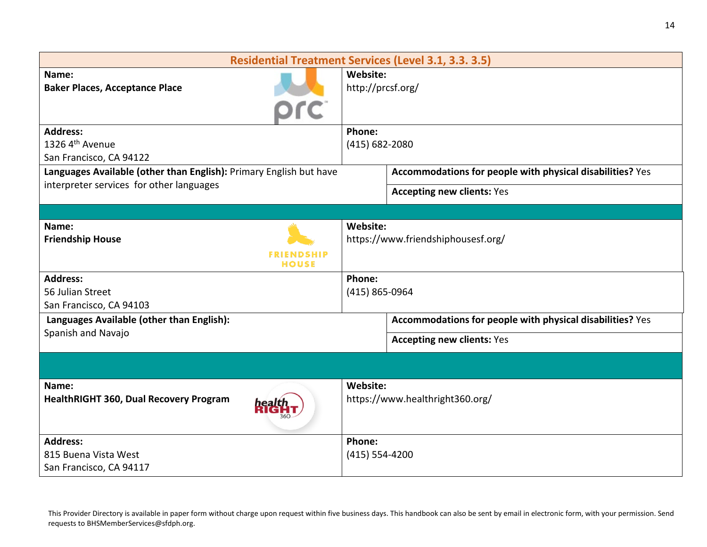| <b>Residential Treatment Services (Level 3.1, 3.3. 3.5)</b>               |                                                           |  |
|---------------------------------------------------------------------------|-----------------------------------------------------------|--|
| Name:<br><b>Baker Places, Acceptance Place</b>                            | Website:<br>http://prcsf.org/                             |  |
| <b>Address:</b><br>1326 4 <sup>th</sup> Avenue<br>San Francisco, CA 94122 | Phone:<br>(415) 682-2080                                  |  |
| Languages Available (other than English): Primary English but have        | Accommodations for people with physical disabilities? Yes |  |
| interpreter services for other languages                                  | <b>Accepting new clients: Yes</b>                         |  |
|                                                                           |                                                           |  |
| Name:<br><b>Friendship House</b><br><b>FRIENDSHIP</b><br><b>HOUSE</b>     | Website:<br>https://www.friendshiphousesf.org/            |  |
| <b>Address:</b><br>56 Julian Street<br>San Francisco, CA 94103            | Phone:<br>(415) 865-0964                                  |  |
| Languages Available (other than English):                                 | Accommodations for people with physical disabilities? Yes |  |
| Spanish and Navajo                                                        | <b>Accepting new clients: Yes</b>                         |  |
|                                                                           |                                                           |  |
| Name:<br><b>HealthRIGHT 360, Dual Recovery Program</b>                    | Website:<br>https://www.healthright360.org/               |  |
| <b>Address:</b>                                                           | Phone:                                                    |  |
| 815 Buena Vista West                                                      | $(415) 554 - 4200$                                        |  |
| San Francisco, CA 94117                                                   |                                                           |  |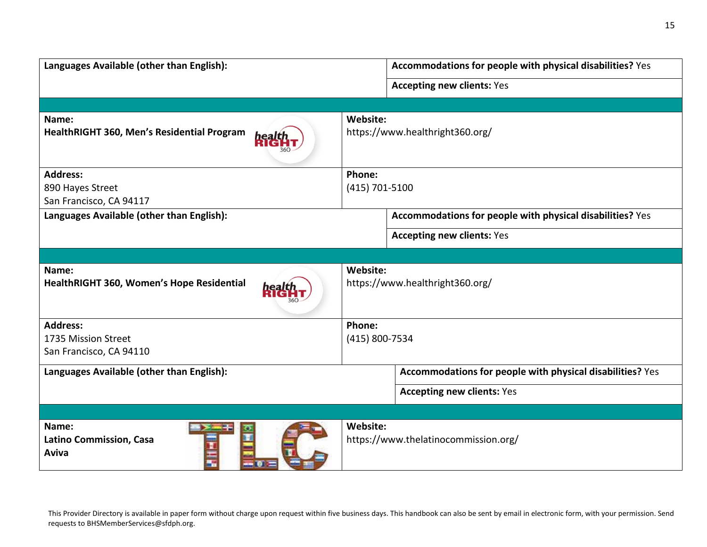| Languages Available (other than English):                           | Accommodations for people with physical disabilities? Yes |  |
|---------------------------------------------------------------------|-----------------------------------------------------------|--|
|                                                                     | <b>Accepting new clients: Yes</b>                         |  |
|                                                                     |                                                           |  |
| Name:<br>HealthRIGHT 360, Men's Residential Program<br><b>healt</b> | Website:<br>https://www.healthright360.org/               |  |
| <b>Address:</b>                                                     | Phone:                                                    |  |
| 890 Hayes Street                                                    | (415) 701-5100                                            |  |
| San Francisco, CA 94117                                             |                                                           |  |
| Languages Available (other than English):                           | Accommodations for people with physical disabilities? Yes |  |
|                                                                     | <b>Accepting new clients: Yes</b>                         |  |
|                                                                     |                                                           |  |
| Name:<br>HealthRIGHT 360, Women's Hope Residential                  | Website:<br>https://www.healthright360.org/               |  |
| <b>Address:</b>                                                     | Phone:                                                    |  |
| 1735 Mission Street                                                 | (415) 800-7534                                            |  |
| San Francisco, CA 94110                                             |                                                           |  |
| Languages Available (other than English):                           | Accommodations for people with physical disabilities? Yes |  |
|                                                                     | <b>Accepting new clients: Yes</b>                         |  |
|                                                                     |                                                           |  |
| Name:<br><b>Latino Commission, Casa</b><br>Aviva                    | Website:<br>https://www.thelatinocommission.org/          |  |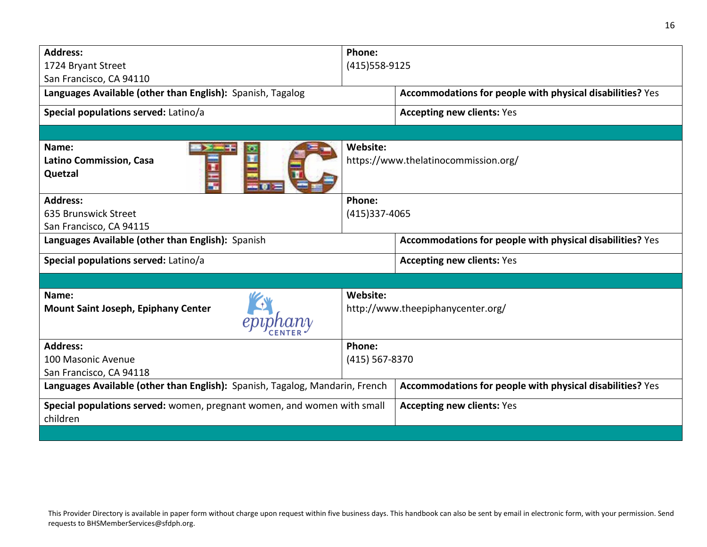| <b>Address:</b>                                                                     | Phone:                                           |                                                           |  |
|-------------------------------------------------------------------------------------|--------------------------------------------------|-----------------------------------------------------------|--|
| 1724 Bryant Street                                                                  |                                                  | (415) 558-9125                                            |  |
| San Francisco, CA 94110                                                             |                                                  |                                                           |  |
| Languages Available (other than English): Spanish, Tagalog                          |                                                  | Accommodations for people with physical disabilities? Yes |  |
| Special populations served: Latino/a                                                |                                                  | <b>Accepting new clients: Yes</b>                         |  |
|                                                                                     |                                                  |                                                           |  |
| Name:<br><b>Latino Commission, Casa</b><br>Quetzal                                  | Website:<br>https://www.thelatinocommission.org/ |                                                           |  |
| <b>Address:</b>                                                                     | Phone:                                           |                                                           |  |
| 635 Brunswick Street                                                                | (415)337-4065                                    |                                                           |  |
| San Francisco, CA 94115                                                             |                                                  |                                                           |  |
| Languages Available (other than English): Spanish                                   |                                                  | Accommodations for people with physical disabilities? Yes |  |
| Special populations served: Latino/a                                                |                                                  | <b>Accepting new clients: Yes</b>                         |  |
|                                                                                     |                                                  |                                                           |  |
| Name:<br><b>Mount Saint Joseph, Epiphany Center</b>                                 | Website:<br>http://www.theepiphanycenter.org/    |                                                           |  |
| <b>Address:</b>                                                                     | Phone:                                           |                                                           |  |
| 100 Masonic Avenue                                                                  | $(415)$ 567-8370                                 |                                                           |  |
| San Francisco, CA 94118                                                             |                                                  |                                                           |  |
| Languages Available (other than English): Spanish, Tagalog, Mandarin, French        |                                                  | Accommodations for people with physical disabilities? Yes |  |
| Special populations served: women, pregnant women, and women with small<br>children |                                                  | <b>Accepting new clients: Yes</b>                         |  |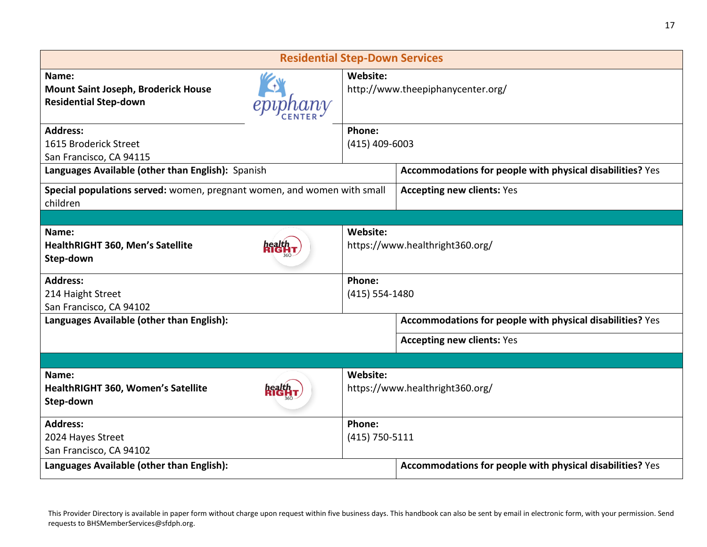| <b>Residential Step-Down Services</b>                                               |                                               |                                                           |  |
|-------------------------------------------------------------------------------------|-----------------------------------------------|-----------------------------------------------------------|--|
| Name:<br><b>Mount Saint Joseph, Broderick House</b><br><b>Residential Step-down</b> | Website:<br>http://www.theepiphanycenter.org/ |                                                           |  |
| <b>Address:</b><br>1615 Broderick Street<br>San Francisco, CA 94115                 | Phone:                                        | $(415)$ 409-6003                                          |  |
| Languages Available (other than English): Spanish                                   |                                               | Accommodations for people with physical disabilities? Yes |  |
| Special populations served: women, pregnant women, and women with small<br>children | <b>Accepting new clients: Yes</b>             |                                                           |  |
|                                                                                     |                                               |                                                           |  |
| Name:<br>HealthRIGHT 360, Men's Satellite<br>Step-down                              | Website:<br>https://www.healthright360.org/   |                                                           |  |
| <b>Address:</b><br>214 Haight Street<br>San Francisco, CA 94102                     | Phone:<br>(415) 554-1480                      |                                                           |  |
| Languages Available (other than English):                                           |                                               | Accommodations for people with physical disabilities? Yes |  |
|                                                                                     |                                               | <b>Accepting new clients: Yes</b>                         |  |
|                                                                                     |                                               |                                                           |  |
| Name:<br>HealthRIGHT 360, Women's Satellite<br>Step-down                            | Website:<br>https://www.healthright360.org/   |                                                           |  |
| <b>Address:</b>                                                                     | Phone:                                        |                                                           |  |
| 2024 Hayes Street<br>San Francisco, CA 94102                                        | (415) 750-5111                                |                                                           |  |
| Languages Available (other than English):                                           |                                               | Accommodations for people with physical disabilities? Yes |  |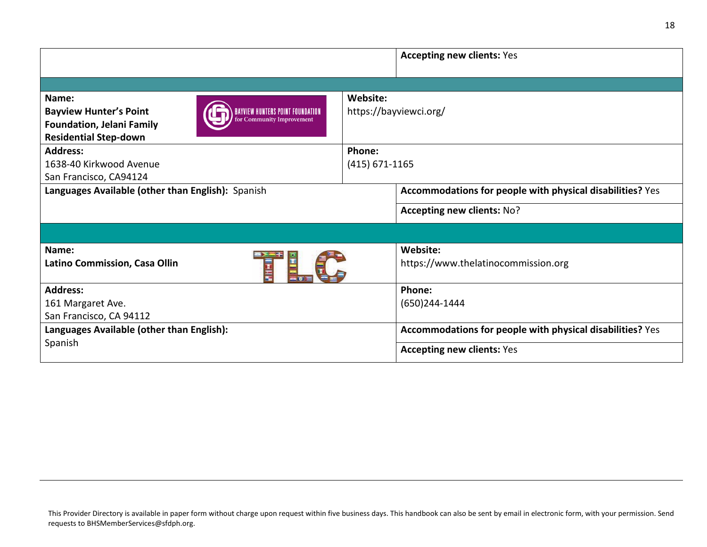|                                                                                                                                                                             |                              | <b>Accepting new clients: Yes</b>                         |
|-----------------------------------------------------------------------------------------------------------------------------------------------------------------------------|------------------------------|-----------------------------------------------------------|
|                                                                                                                                                                             |                              |                                                           |
| Name:<br>BAYVIEW HUNTERS POINT FOUNDATION<br><b>Bayview Hunter's Point</b><br>for Community Improvement<br><b>Foundation, Jelani Family</b><br><b>Residential Step-down</b> | Website:                     | https://bayviewci.org/                                    |
| <b>Address:</b><br>1638-40 Kirkwood Avenue<br>San Francisco, CA94124                                                                                                        | Phone:<br>$(415) 671 - 1165$ |                                                           |
| Languages Available (other than English): Spanish                                                                                                                           |                              | Accommodations for people with physical disabilities? Yes |
|                                                                                                                                                                             |                              | Accepting new clients: No?                                |
|                                                                                                                                                                             |                              |                                                           |
| Name:<br>Latino Commission, Casa Ollin<br>Ē                                                                                                                                 |                              | Website:<br>https://www.thelatinocommission.org           |
| <b>Address:</b><br>161 Margaret Ave.<br>San Francisco, CA 94112                                                                                                             |                              | Phone:<br>(650)244-1444                                   |
| Languages Available (other than English):                                                                                                                                   |                              | Accommodations for people with physical disabilities? Yes |
| Spanish                                                                                                                                                                     |                              | <b>Accepting new clients: Yes</b>                         |